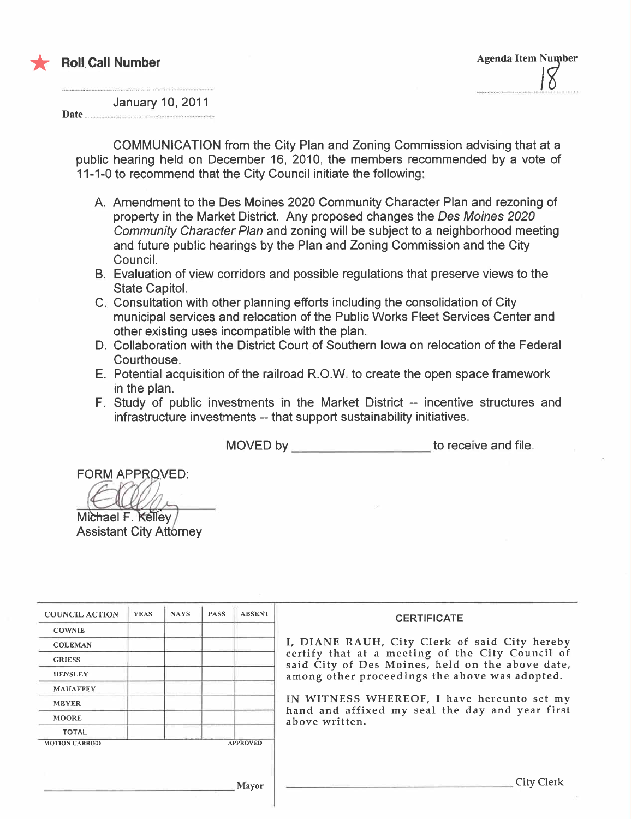

January 10, 2011

Date....

COMMUNICATION from the City Plan and Zoning Commission advising that at a public hearing held on December 16, 2010, the members recommended by a vote of 11-1-0 to recommend that the City Council initiate the following:

- A. Amendment to the Des Moines 2020 Community Character Plan and rezoning of property in the Market District. Any proposed changes the Des Moines 2020 Community Character Plan and zoning will be subject to a neighborhood meeting and future public hearings by the Plan and Zoning Commission and the City CounciL.
- B. Evaluation of view corridors and possible regulations that preserve views to the State CapitoL.
- C. Consultation with other planning efforts including the consolidation of City municipal services and relocation of the Public Works Fleet Services Center and other existing uses incompatible with the plan.
- D. Collaboration with the District Court of Southern Iowa on relocation of the Federal Courthouse.
- E. Potential acquisition of the railroad R.O.W. to create the open space framework in the plan.
- F. Study of public investments in the Market District -- incentive structures and infrastructure investments -- that support sustainability initiatives.

MOVED by \_\_\_\_\_\_\_\_\_\_\_\_\_\_\_\_\_\_\_\_\_\_\_\_\_to receive and file.

**FORM APPROVED:** 

Michael F. Kelley **Assistant City Attorney** 

| <b>COUNCIL ACTION</b> | <b>YEAS</b> | <b>NAYS</b> | <b>PASS</b> | <b>ABSENT</b>   | <b>CERTIFICATE</b>                                                                                   |
|-----------------------|-------------|-------------|-------------|-----------------|------------------------------------------------------------------------------------------------------|
| <b>COWNIE</b>         |             |             |             |                 |                                                                                                      |
| <b>COLEMAN</b>        |             |             |             |                 | I, DIANE RAUH, City Clerk of said City hereby                                                        |
| <b>GRIESS</b>         |             |             |             |                 | certify that at a meeting of the City Council of<br>said City of Des Moines, held on the above date, |
| <b>HENSLEY</b>        |             |             |             |                 | among other proceedings the above was adopted.                                                       |
| <b>MAHAFFEY</b>       |             |             |             |                 |                                                                                                      |
| <b>MEYER</b>          |             |             |             |                 | IN WITNESS WHEREOF, I have hereunto set my                                                           |
| <b>MOORE</b>          |             |             |             |                 | hand and affixed my seal the day and year first<br>above written.                                    |
| <b>TOTAL</b>          |             |             |             |                 |                                                                                                      |
| <b>MOTION CARRIED</b> |             |             |             | <b>APPROVED</b> |                                                                                                      |
|                       |             |             |             |                 |                                                                                                      |
|                       |             |             |             |                 |                                                                                                      |
|                       |             |             |             | Mayor           | <b>City Clerk</b>                                                                                    |
|                       |             |             |             |                 |                                                                                                      |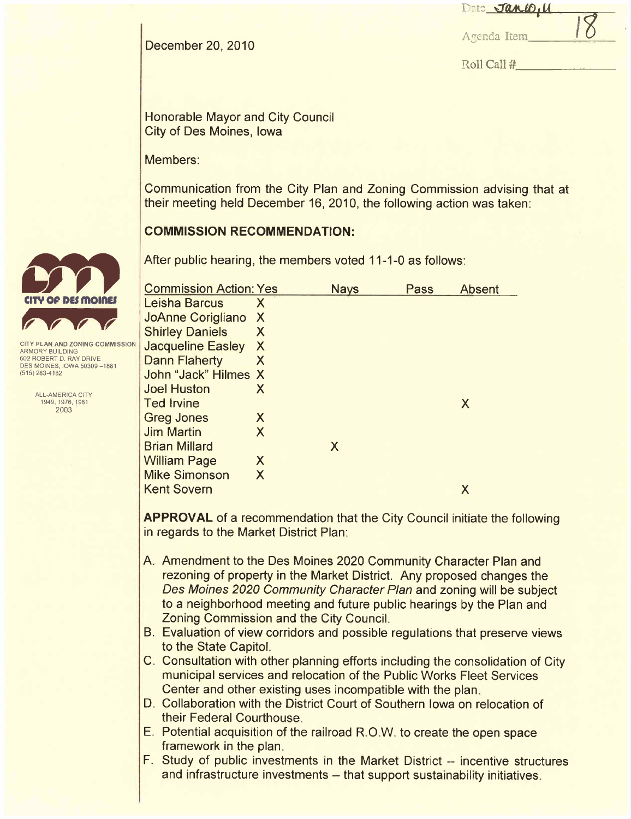|             | Date JaneD, U |  |
|-------------|---------------|--|
| Agenda Item |               |  |

Agenda Item

Roll Call #

December 20, 2010

Honorable Mayor and City Council City of Des Moines, Iowa

Members:

Communication from the City Plan and Zoning Commission advising that at their meeting held December 16,2010, the following action was taken:

#### COMMISSION RECOMMENDATION:

After public hearing, the members voted 11-1-0 as follows:

| <b>Commission Action: Yes</b> |   | <b>Nays</b> | Pass | <b>Absent</b> |
|-------------------------------|---|-------------|------|---------------|
| Leisha Barcus                 | X |             |      |               |
| <b>JoAnne Corigliano</b>      | X |             |      |               |
| <b>Shirley Daniels</b>        | X |             |      |               |
| <b>Jacqueline Easley</b>      | X |             |      |               |
| <b>Dann Flaherty</b>          | X |             |      |               |
| John "Jack" Hilmes X          |   |             |      |               |
| <b>Joel Huston</b>            | X |             |      |               |
| <b>Ted Irvine</b>             |   |             |      | X             |
| <b>Greg Jones</b>             | X |             |      |               |
| <b>Jim Martin</b>             | X |             |      |               |
| <b>Brian Millard</b>          |   | X           |      |               |
| <b>William Page</b>           | X |             |      |               |
| <b>Mike Simonson</b>          | X |             |      |               |
| <b>Kent Sovern</b>            |   |             |      | X             |
|                               |   |             |      |               |

APPROVAL of a recommendation that the City Council initiate the following in regards to the Market District Plan:

- A. Amendment to the Des Moines 2020 Community Character Plan and rezoning of property in the Market District. Any proposed changes the Des Moines 2020 Community Character Plan and zoning will be subject to a neighborhood meeting and future public hearings by the Plan and Zoning Commission and the City CounciL.
- B. Evaluation of view corridors and possible regulations that preserve views to the State CapitoL.
- C. Consultation with other planning efforts including the consolidation of City municipal services and relocation of the Public Works Fleet Services Center and other existing uses incompatible with the plan.
- D. Collaboration with the District Court of Southern Iowa on relocation of their Federal Courthouse.
- E. Potential acquisition of the railroad R.O.W. to create the open space framework in the plan.
- F. Study of public investments in the Market District -- incentive structures and infrastructure investments -- that support sustainability initiatives.



**ITY PLAN AND ZONING COMMISSION** ARMORY BUILDING 602 ROBERT D. RAY DRIVE DES MOINES, IOWA 50309-1881 (515) 283-4182

> ALL-AMERICA CITY 1949,1976,1981 2003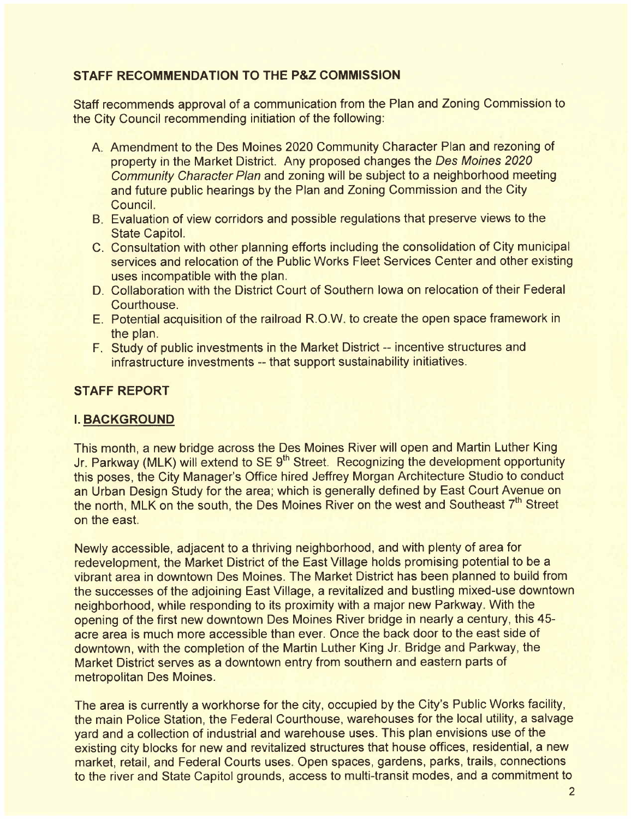#### STAFF RECOMMENDATION TO THE P&Z COMMISSION

Staff recommends approval of a communication from the Plan and Zoning Commission to the City Council recommending initiation of the following:

- A. Amendment to the Des Moines 2020 Community Character Plan and rezoning of property in the Market District. Any proposed changes the Des Moines 2020 Community Character Plan and zoning will be subject to a neighborhood meeting and future public hearings by the Plan and Zoning Commission and the City Council.
- B. Evaluation of view corridors and possible regulations that preserve views to the State CapitoL.
- C. Consultation with other planning efforts including the consolidation of City municipal services and relocation of the Public Works Fleet Services Center and other existing uses incompatible with the plan.
- D. Collaboration with the District Court of Southern Iowa on relocation of their Federal Courthouse.
- E. Potential acquisition of the railroad RO.W. to create the open space framework in the plan.
- F. Study of public investments in the Market District -- incentive structures and infrastructure investments -- that support sustainability initiatives.

#### STAFF REPORT

#### i. BACKGROUND

This month, a new bridge across the Des Moines River will open and Martin Luther King Jr. Parkway (MLK) will extend to SE 9<sup>th</sup> Street. Recognizing the development opportunity this poses, the City Manager's Office hired Jeffrey Morgan Architecture Studio to conduct an Urban Design Study for the area; which is generally defined by East Court Avenue on the north, MLK on the south, the Des Moines River on the west and Southeast 7<sup>th</sup> Street on the east.

Newly accessible, adjacent to a thriving neighborhood, and with plenty of area for redevelopment, the Market District of the East Village holds promising potential to be a vibrant area in downtown Des Moines. The Market District has been planned to build from the successes of the adjoining East Village, a revitalized and bustling mixed-use downtown neighborhood, while responding to its proximity with a major new Parkway. With the opening of the first new downtown Des Moines River bridge in nearly a century, this 45 acre area is much more accessible than ever. Once the back door to the east side of downtown, with the completion of the Martin Luther King Jr. Bridge and Parkway, the Market District serves as a downtown entry from southern and eastern parts of metropolitan Des Moines.

The area is currently a workhorse for the city, occupied by the City's Public Works facility, the main Police Station, the Federal Courthouse, warehouses for the local utility, a salvage yard and a collection of industrial and warehouse uses. This plan envisions use of the existing city blocks for new and revitalized structures that house offices, residential, a new market, retail, and Federal Courts uses. Open spaces, gardens, parks, trails, connections to the river and State Capitol grounds, access to multi-transit modes, and a commitment to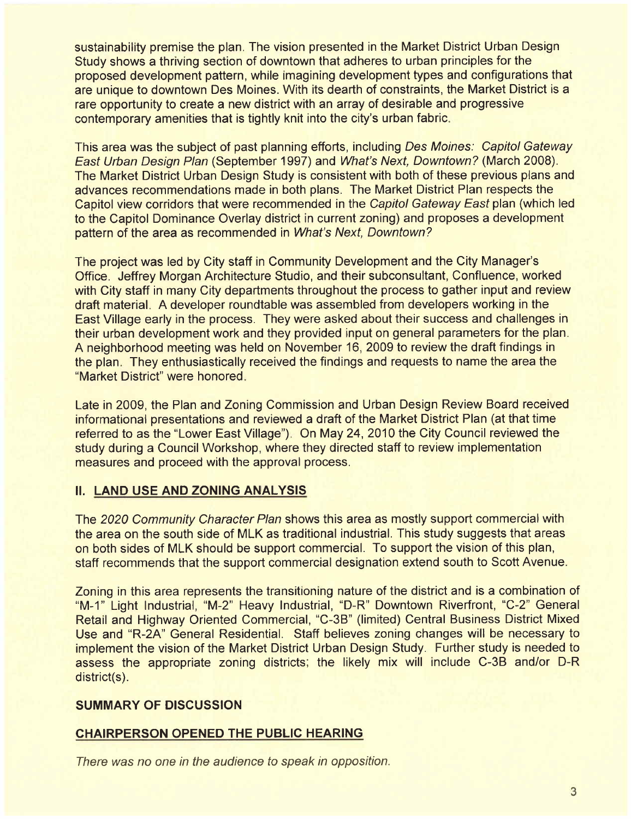sustainability premise the plan. The vision presented in the Market District Urban Design Study shows a thriving section of downtown that adheres to urban principles for the proposed development pattern, while imagining development types and configurations that are unique to downtown Des Moines. With its dearth of constraints, the Market District is a rare opportunity to create a new district with an array of desirable and progressive contemporary amenities that is tightly knit into the city's urban fabric.

This area was the subject of past planning efforts, including Des Moines: Capitol Gateway East Urban Design Plan (September 1997) and What's Next, Downtown? (March 2008). The Market District Urban Design Study is consistent with both of these previous plans and advances recommendations made in both plans. The Market District Plan respects the Capitol view corridors that were recommended in the Capitol Gateway East plan (which led to the Capitol Dominance Overlay district in current zoning) and proposes a development pattern of the area as recommended in What's Next, Downtown?

The project was led by City staff in Community Development and the City Manager's Office. Jeffrey Morgan Architecture Studio, and their subconsultant, Confluence, worked with City staff in many City departments throughout the process to gather input and review draft materiaL. A developer roundtable was assembled from developers working in the East Village early in the process. They were asked about their success and challenges in their urban development work and they provided input on general parameters for the plan. A neighborhood meeting was held on November 16, 2009 to review the draft findings in the plan. They enthusiastically received the findings and requests to name the area the "Market District" were honored.

Late in 2009, the Plan and Zoning Commission and Urban Design Review Board received informational presentations and reviewed a draft of the Market District Plan (at that time referred to as the "Lower East Village"). On May 24, 2010 the City Council reviewed the study during a Council Workshop, where they directed staff to review implementation measures and proceed with the approval process.

#### II. LAND USE AND ZONING ANALYSIS

The 2020 Community Character Plan shows this area as mostly support commercial with the area on the south side of MLK as traditional industrial. This study suggests that areas on both sides of MLK should be support commercial. To support the vision of this plan, staff recommends that the support commercial designation extend south to Scott Avenue.

Zoning in this area represents the transitioning nature of the district and is a combination of "M-1" Light Industrial, "M-2" Heavy Industrial, "D-R" Downtown Riverfront, "C-2" General Retail and Highway Oriented Commercial, "C-3B" (limited) Central Business District Mixed Use and "R-2A" General Residential. Staff believes zoning changes will be necessary to implement the vision of the Market District Urban Design Study. Further study is needed to assess the appropriate zoning districts; the likely mix will include C-3B and/or D-R district(s).

#### SUMMARY OF DISCUSSION

#### CHAIRPERSON OPENED THE PUBLIC HEARING

There was no one in the audience to speak in opposition.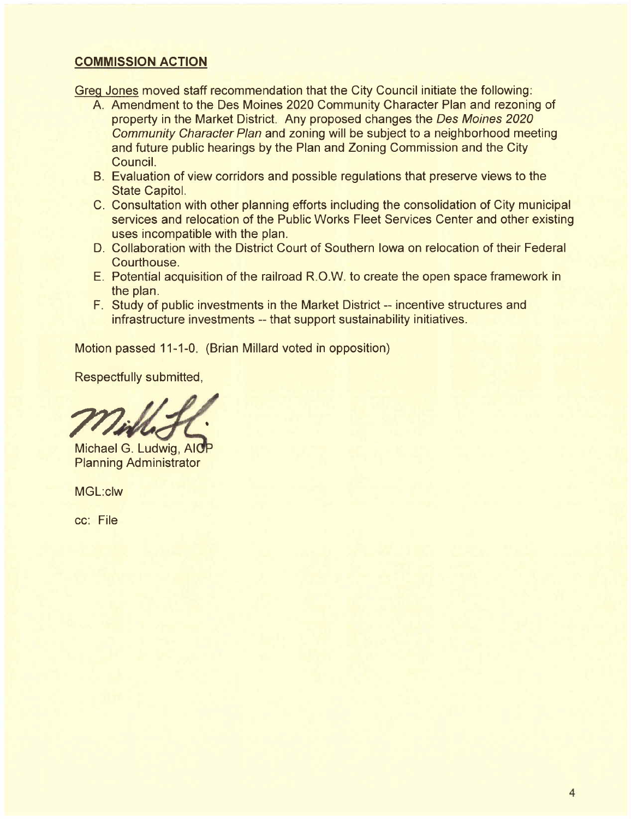#### COMMISSION ACTION

Greq Jones moved staff recommendation that the City Council initiate the following:

- A. Amendment to the Des Moines 2020 Community Character Plan and rezoning of property in the Market District. Any proposed changes the Des Moines 2020 Community Character Plan and zoning will be subject to a neighborhood meeting and future public hearings by the Plan and Zoning Commission and the City CounciL.
- B. Evaluation of view corridors and possible regulations that preserve views to the State CapitoL.
- C. Consultation with other planning efforts including the consolidation of City municipal services and relocation of the Public Works Fleet Services Center and other existing uses incompatible with the plan.
- D. Collaboration with the District Court of Southern Iowa on relocation of their Federal Courthouse.
- E. Potential acquisition of the railroad R.O.W. to create the open space framework in the plan.
- F. Study of public investments in the Market District -- incentive structures and infrastructure investments -- that support sustainability initiatives.

Motion passed 11-1-0. (Brian Millard voted in opposition)

Respectfully submitted,

Michael G. Ludwig, AICP Planning Administrator

MGL:clw

cc: File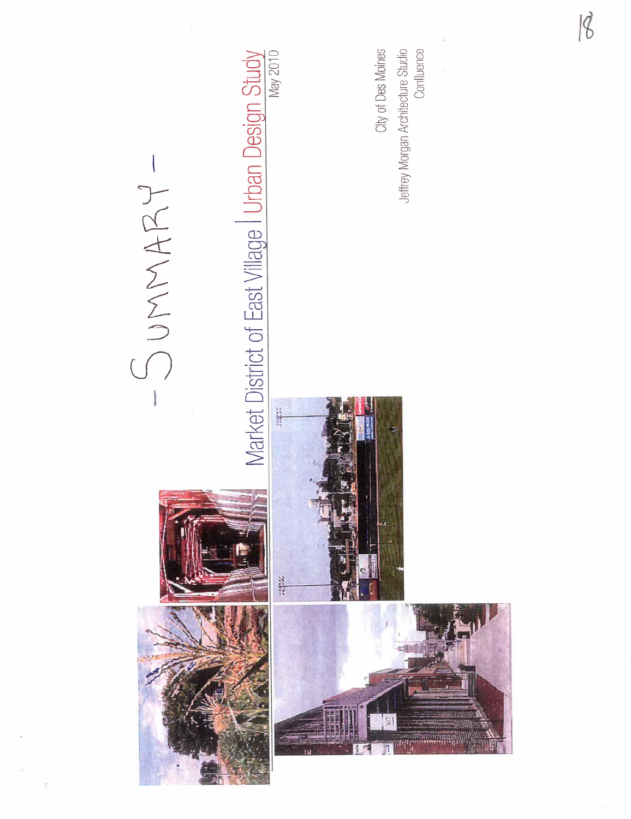

 $|8$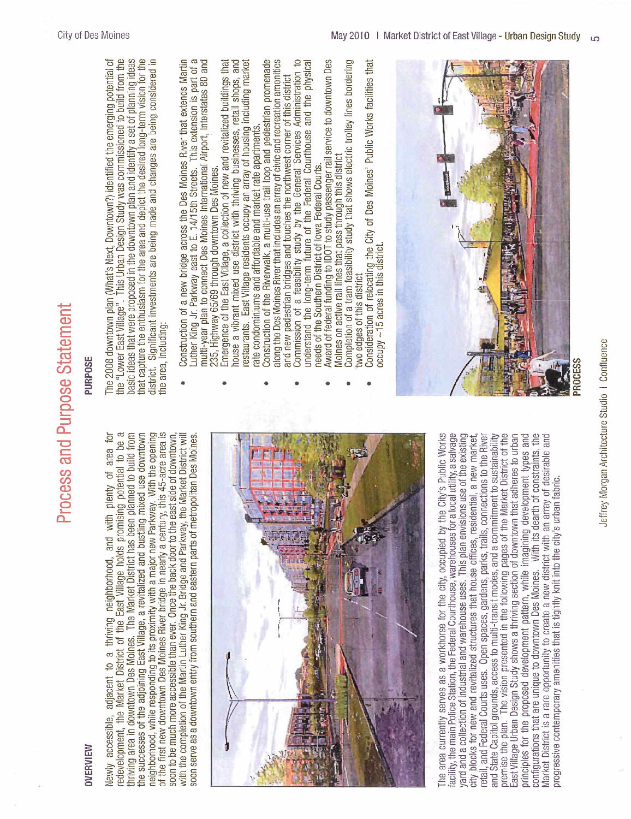PURPOSE

### OVERVIEW

redevelopment, the Market District of the East Village holds promising potential to be a the successes of the adjoining East Village, a revitalized and bustling mixed use downtown neighborhood, while responding to its proximity with a major new Parkway. With the opening<br>of the first new downtown Des Moines River bridge in nearly a century, this 45-acre area is The Market District has been planned to build from 후 Newly accessible, adjacent to a thriving neighborhood, and with plenty of area for redevelopment, the Market District of the East Vilage holds promising potential to be a soon to be much more accessible than ever. Once the back door to the east side of downtown, with the completion of the Martin Luther King Jr. Bridge and Parkway, the Market District will thriving area in downtown Des Moines. The Marl(et District has been planned to build from the successes of the adjoining East Village, a revitalized and bustling mixed use downtown neighborhood, while responding to its proximity with a major new Parkway. With the opening of the first new downtown Des Moines River bridge in nearly a century, this 45-acre area is soon to be much more accessible than ever, Once the back door to the east side of downtown, with the completion of the Martin Luther King Jr. Bridge and Parkway, the Market District wil soon serve as a downtown entry from southern and eastern parts of metropolitan Des Moines soon serve as a downtown entry from southern and eastern parts of metropolitan Des Moines. neighborhood, and with plenty of area adjacent to a thriving hriving area in downtown Des Moines. accessible, Newly



premise the plan. The vision presented in the following pages of the Market District of the Market District is a rare opportunity to create a new district with an array of desirable and<br>progressive contemporary amenities that is tightly knit into the city's urban fabric. area currently serves as a workhorse for the city, occupied by the City's Public Works facility, the main Police Station, the Federal Courthouse, warehouses for a local utility, a salvage yard and a collection of industrial and warehouse uses. This plan envisions use of the existing and State Capitol grounds, access to multi-transit modes, and a commitment to sustainability East Village Urban Design Study shows a thriving section of downtown that adheres to urban principles for the proposed development pattern, while imagining development types and configurations that are unique to downtown Des Moines. With its dearth of constraints, the The area currently serves as a workhorse for the city, occupied by the City's Public Works facility, the main Police Station, the Federal Courthouse, warehouses for a local utility, a salvage retail, and Federal Courts uses. Open spaces, gardens, parks, trails, connections to the River retail, and Federal Courts uses. Open spaces, gardens, parks, trails, connections to the River and State Capitol grounds, access to multi-transit modes, and a commitment to sustainability premise tiie plan. The vision presented in the following pages of the Market District of the yard and a collection of industrial and warehouse uses. This plan envisions use of the existing city blocks for new and revitalized structures that house offices, residential, a new market city blocks for new and revitalized structures that house offices, residential, a new market, East Village Urban Design Study shows a thriving section of downtown that adheres to urban principles for the proposed development pattern, while imagining development types and configurations that are unique to downtown Des Moines, With its deartli of constraints, the Market District is a rare opportunity to create a new district witli an array of desirable and progressive contemporary amenities tliat is tiglitly knit into the city's urban fabric. The

### that capture the enthusiasm for the area and depict the desired long-term vision for the<br>district. Significant investments are being made and changes are being considered in the "Lower East Village". This Urban Design Study was commissioned to build from the basic ideas that were proposed in the downtown plan and identify a set of planning ideas The 2008 downtown plan (What's Next, Downtown?) identified the emerging potential of The 2008 downtown plan (What's Next, Downtown?) identified tiie emerging potential of the "Lower East Vilage". This Urban Design Study was commissioned to build from the basic ideas tliat were proposed in the downtown plan and identify a set of planning ideas that capture the enthusiasm for the area and depict the desired long-terni vision for the district. Significant investments are being made and changes are being considered in the area, including: the area, including:

- $\sigma$ Construction of a new bridge across the Des Moines River that extends Martin multi-year plan to connect Des Moines International Airport, Interstates 80 and · Construction of a new bridge across the Des Moines River that extends Martin Luther King Jr. Parkway east to E. 14/15th Streets. This extension is part of a multi-year plan to connect Des Moines International Airport, Interstates 80 and This extension is part of 235, Highway 65/69 through downtown Des Moines. . Luther King Jr. Parkway east to E. 14/15th Streets. 235, Highway 65/69 through downtown Des Moines.
	- and Emergence of the East Village, a collection of new and revitalized buildings that restaurants. East Village residents occupy an array of housing including market house a vibrant mixed use district with thriving businesses, retail S110pS, and restaurants. East Vilage residents occupy an array of housing including market  $\bullet$  Emergence of the East Village, a collection of new and revitalized buildings that house a vibrant mixed use district with thriving businesses, retail shops, rate condominiums and affordable and market rate apartments. rate condoniiniums and affordable and market rate apartments.
- Construction of the Riverwalk, a multi-use trail loop and pedestrian promenade along the Des Moines River that includes an array of civic and recreation amenities · Construction of the Riverwalk, a multi-use trail loop and pedestrian promenade along the Des Moines River that includes an array of civic and recreation amenities and new pedestrian bridges and touches the northwest corner of this district and new pedestrian bridges and touches the northwest corner of this district
	- $\approx$ understand the long-term future of the Federal Courthouse and the physical understand the long-term future of the Federal Courthouse and the physical · Commission of a feasibilty study by tiie General Services Administration to Commission of a feasibility study by the General Services Administration
		- Award of federal funding to IDOT to study passenger rail service to downtown Des · Award of federal funding to lOOT to study passenger rail service to downtown Des Moines on active rail lines that pass through this district needs of the Southern District of lowa Federal Courts. needs of the Southern District of Iowa Federal Courts.
- Completion of a tram feasibility study that shows electric trolley lines bordering  $\bullet$  Completion of a tram feasibility study that shows electric trolley lines borderin Moines on active rail lines that pass through this district two edges of this district two edges of this district
- Consideration of relocating the City of Des Moines' Public Works facilities that  $\bullet$  Consideration of relocating the City of Des Moines' Public Works facilities that  $occupy \sim 15$  acres in this district. occupy -15 acres in this district.